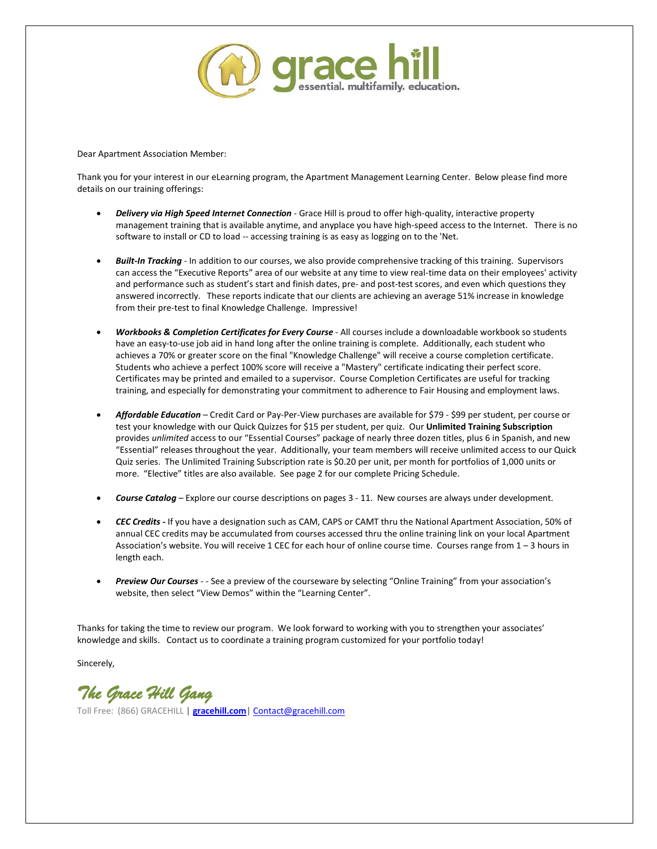

Dear Apartment Association Member:

Thank you for your interest in our eLearning program, the Apartment Management Learning Center. Below please find more details on our training offerings:

- *Delivery via High Speed Internet Connection*  Grace Hill is proud to offer high-quality, interactive property management training that is available anytime, and anyplace you have high-speed access to the Internet. There is no software to install or CD to load -- accessing training is as easy as logging on to the 'Net.
- *Built-In Tracking*  In addition to our courses, we also provide comprehensive tracking of this training. Supervisors can access the "Executive Reports" area of our website at any time to view real-time data on their employees' activity and performance such as student's start and finish dates, pre- and post-test scores, and even which questions they answered incorrectly. These reports indicate that our clients are achieving an average 51% increase in knowledge from their pre-test to final Knowledge Challenge. Impressive!
- *Workbooks & Completion Certificates for Every Course*  All courses include a downloadable workbook so students have an easy-to-use job aid in hand long after the online training is complete. Additionally, each student who achieves a 70% or greater score on the final "Knowledge Challenge" will receive a course completion certificate. Students who achieve a perfect 100% score will receive a "Mastery" certificate indicating their perfect score. Certificates may be printed and emailed to a supervisor. Course Completion Certificates are useful for tracking training, and especially for demonstrating your commitment to adherence to Fair Housing and employment laws.
- *Affordable Education*  Credit Card or Pay-Per-View purchases are available for \$79 \$99 per student, per course or test your knowledge with our Quick Quizzes for \$15 per student, per quiz. Our **Unlimited Training Subscription**  provides *unlimited* access to our "Essential Courses" package of nearly three dozen titles, plus 6 in Spanish, and new "Essential" releases throughout the year. Additionally, your team members will receive unlimited access to our Quick Quiz series. The Unlimited Training Subscription rate is \$0.20 per unit, per month for portfolios of 1,000 units or more. "Elective" titles are also available. See page 2 for our complete Pricing Schedule.
- *Course Catalog*  Explore our course descriptions on pages 3 11. New courses are always under development.
- *CEC Credits -* If you have a designation such as CAM, CAPS or CAMT thru the National Apartment Association, 50% of annual CEC credits may be accumulated from courses accessed thru the online training link on your local Apartment Association's website. You will receive 1 CEC for each hour of online course time. Courses range from 1 – 3 hours in length each.
- *Preview Our Courses*  - See a preview of the courseware by selecting "Online Training" from your association's website, then select "View Demos" within the "Learning Center".

Thanks for taking the time to review our program. We look forward to working with you to strengthen your associates' knowledge and skills. Contact us to coordinate a training program customized for your portfolio today!

Sincerely,

*The Grace Hill Gang* 

Toll Free: (866) GRACEHILL **| [gracehill.com|](http://www.gracehill.com/)** [Contact@gracehill.com](mailto:Contact@gracehill.com)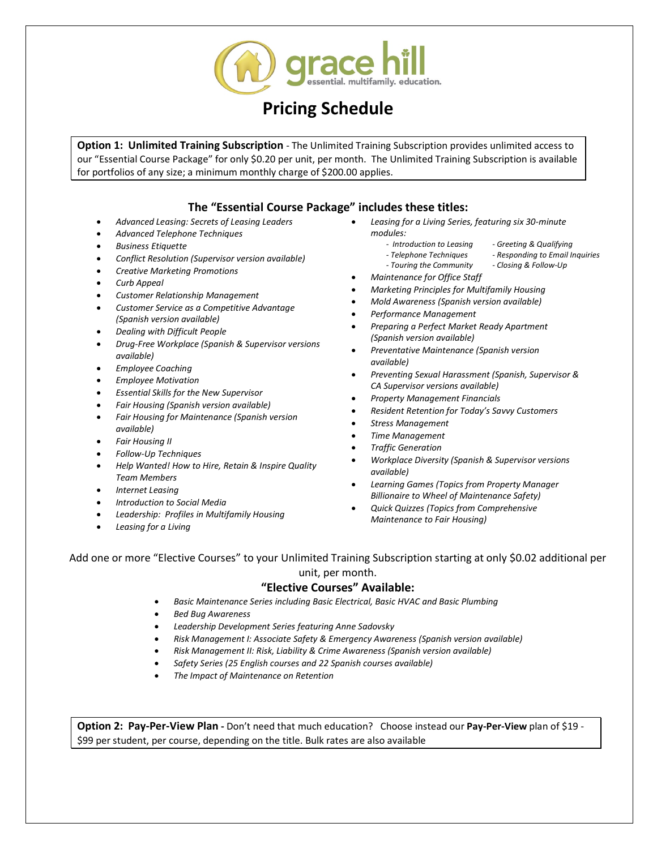

### **Pricing Schedule**

**Option 1: Unlimited Training Subscription** - The Unlimited Training Subscription provides unlimited access to our "Essential Course Package" for only \$0.20 per unit, per month. The Unlimited Training Subscription is available for portfolios of any size; a minimum monthly charge of \$200.00 applies.

### **The "Essential Course Package" includes these titles:**

- *Advanced Leasing: Secrets of Leasing Leaders*
- *Advanced Telephone Techniques*
- *Business Etiquette*
- *Conflict Resolution (Supervisor version available)*
- *Creative Marketing Promotions*
- *Curb Appeal*
- *Customer Relationship Management*
- *Customer Service as a Competitive Advantage (Spanish version available)*
- *Dealing with Difficult People*
- *Drug-Free Workplace (Spanish & Supervisor versions available)*
- *Employee Coaching*
- *Employee Motivation*
- *Essential Skills for the New Supervisor*
- *Fair Housing (Spanish version available)*
- *Fair Housing for Maintenance (Spanish version available)*
- *Fair Housing II*
- *Follow-Up Techniques*
- *Help Wanted! How to Hire, Retain & Inspire Quality Team Members*
- *Internet Leasing*
- *Introduction to Social Media*
- *Leadership: Profiles in Multifamily Housing*
- *Leasing for a Living*
- *Leasing for a Living Series, featuring six 30-minute modules:*
	- *Introduction to Leasing - Greeting & Qualifying*
		- *- Telephone Techniques - Responding to Email Inquiries*
		- *- Touring the Community - Closing & Follow-Up*
- *Maintenance for Office Staff*
- *Marketing Principles for Multifamily Housing*
- *Mold Awareness (Spanish version available)*
- *Performance Management*
- *Preparing a Perfect Market Ready Apartment (Spanish version available)*
- *Preventative Maintenance (Spanish version available)*
- *Preventing Sexual Harassment (Spanish, Supervisor & CA Supervisor versions available)*
- 
- *Resident Retention for Today's Savvy Customers*
- *Stress Management*
- *Time Management*
- *Traffic Generation*
- *Workplace Diversity (Spanish & Supervisor versions available)*
- *Learning Games (Topics from Property Manager Billionaire to Wheel of Maintenance Safety)*
- *Quick Quizzes (Topics from Comprehensive Maintenance to Fair Housing)*

#### Add one or more "Elective Courses" to your Unlimited Training Subscription starting at only \$0.02 additional per unit, per month.

#### **"Elective Courses" Available:**

- *Basic Maintenance Series including Basic Electrical, Basic HVAC and Basic Plumbing*
- *Bed Bug Awareness*
- *Leadership Development Series featuring Anne Sadovsky*
- *Risk Management I: Associate Safety & Emergency Awareness (Spanish version available)*
- *Risk Management II: Risk, Liability & Crime Awareness (Spanish version available)*
- *Safety Series (25 English courses and 22 Spanish courses available)*
- *The Impact of Maintenance on Retention*

**Option 2: Pay-Per-View Plan -** Don't need that much education? Choose instead our **Pay-Per-View** plan of \$19 - \$99 per student, per course, depending on the title. Bulk rates are also available

- 
- 
- *Property Management Financials*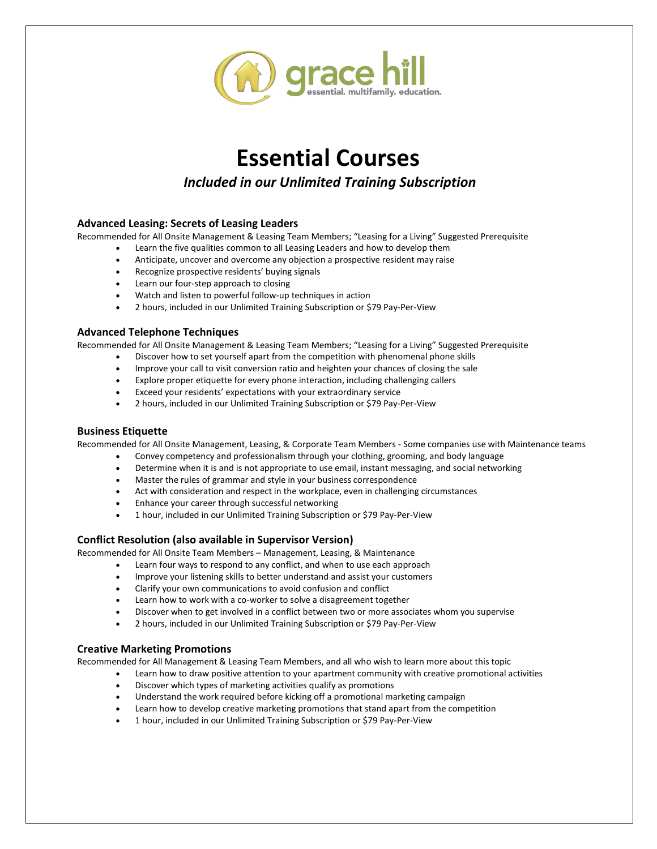

*Included in our Unlimited Training Subscription*

#### **Advanced Leasing: Secrets of Leasing Leaders**

Recommended for All Onsite Management & Leasing Team Members; "Leasing for a Living" Suggested Prerequisite

- Learn the five qualities common to all Leasing Leaders and how to develop them
- Anticipate, uncover and overcome any objection a prospective resident may raise
- Recognize prospective residents' buying signals
- Learn our four-step approach to closing
- Watch and listen to powerful follow-up techniques in action
- 2 hours, included in our Unlimited Training Subscription or \$79 Pay-Per-View

#### **Advanced Telephone Techniques**

Recommended for All Onsite Management & Leasing Team Members; "Leasing for a Living" Suggested Prerequisite

- Discover how to set yourself apart from the competition with phenomenal phone skills
- Improve your call to visit conversion ratio and heighten your chances of closing the sale
- Explore proper etiquette for every phone interaction, including challenging callers
- Exceed your residents' expectations with your extraordinary service
- 2 hours, included in our Unlimited Training Subscription or \$79 Pay-Per-View

#### **Business Etiquette**

Recommended for All Onsite Management, Leasing, & Corporate Team Members - Some companies use with Maintenance teams

- Convey competency and professionalism through your clothing, grooming, and body language
- Determine when it is and is not appropriate to use email, instant messaging, and social networking
- Master the rules of grammar and style in your business correspondence
- Act with consideration and respect in the workplace, even in challenging circumstances
- Enhance your career through successful networking
- 1 hour, included in our Unlimited Training Subscription or \$79 Pay-Per-View

#### **Conflict Resolution (also available in Supervisor Version)**

Recommended for All Onsite Team Members – Management, Leasing, & Maintenance

- Learn four ways to respond to any conflict, and when to use each approach
- Improve your listening skills to better understand and assist your customers
- Clarify your own communications to avoid confusion and conflict
- Learn how to work with a co-worker to solve a disagreement together
- Discover when to get involved in a conflict between two or more associates whom you supervise
- 2 hours, included in our Unlimited Training Subscription or \$79 Pay-Per-View

#### **Creative Marketing Promotions**

Recommended for All Management & Leasing Team Members, and all who wish to learn more about this topic

- Learn how to draw positive attention to your apartment community with creative promotional activities
- Discover which types of marketing activities qualify as promotions
- Understand the work required before kicking off a promotional marketing campaign
- Learn how to develop creative marketing promotions that stand apart from the competition
- 1 hour, included in our Unlimited Training Subscription or \$79 Pay-Per-View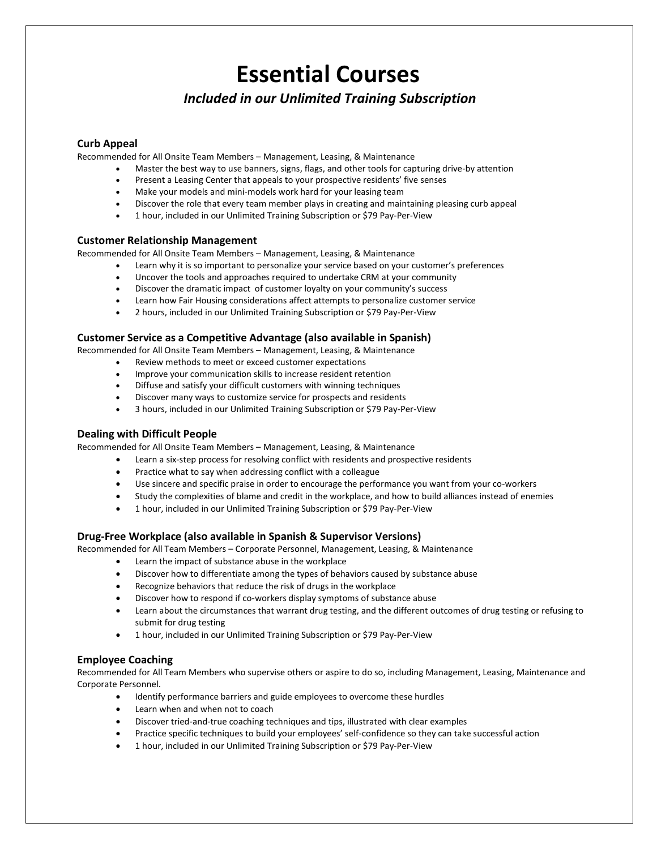### *Included in our Unlimited Training Subscription*

#### **Curb Appeal**

Recommended for All Onsite Team Members – Management, Leasing, & Maintenance

- Master the best way to use banners, signs, flags, and other tools for capturing drive-by attention
	- Present a Leasing Center that appeals to your prospective residents' five senses
- Make your models and mini-models work hard for your leasing team
- Discover the role that every team member plays in creating and maintaining pleasing curb appeal
- 1 hour, included in our Unlimited Training Subscription or \$79 Pay-Per-View

#### **Customer Relationship Management**

Recommended for All Onsite Team Members – Management, Leasing, & Maintenance

- Learn why it is so important to personalize your service based on your customer's preferences
- Uncover the tools and approaches required to undertake CRM at your community
- Discover the dramatic impact of customer loyalty on your community's success
- Learn how Fair Housing considerations affect attempts to personalize customer service
- 2 hours, included in our Unlimited Training Subscription or \$79 Pay-Per-View

#### **Customer Service as a Competitive Advantage (also available in Spanish)**

Recommended for All Onsite Team Members – Management, Leasing, & Maintenance

- Review methods to meet or exceed customer expectations
- Improve your communication skills to increase resident retention
- Diffuse and satisfy your difficult customers with winning techniques
- Discover many ways to customize service for prospects and residents
- 3 hours, included in our Unlimited Training Subscription or \$79 Pay-Per-View

#### **Dealing with Difficult People**

Recommended for All Onsite Team Members – Management, Leasing, & Maintenance

- Learn a six-step process for resolving conflict with residents and prospective residents
- Practice what to say when addressing conflict with a colleague
- Use sincere and specific praise in order to encourage the performance you want from your co-workers
- Study the complexities of blame and credit in the workplace, and how to build alliances instead of enemies
- 1 hour, included in our Unlimited Training Subscription or \$79 Pay-Per-View

#### **Drug-Free Workplace (also available in Spanish & Supervisor Versions)**

Recommended for All Team Members – Corporate Personnel, Management, Leasing, & Maintenance

- Learn the impact of substance abuse in the workplace
- Discover how to differentiate among the types of behaviors caused by substance abuse
- Recognize behaviors that reduce the risk of drugs in the workplace
- Discover how to respond if co-workers display symptoms of substance abuse
- Learn about the circumstances that warrant drug testing, and the different outcomes of drug testing or refusing to submit for drug testing
- 1 hour, included in our Unlimited Training Subscription or \$79 Pay-Per-View

#### **Employee Coaching**

Recommended for All Team Members who supervise others or aspire to do so, including Management, Leasing, Maintenance and Corporate Personnel.

- Identify performance barriers and guide employees to overcome these hurdles
- Learn when and when not to coach
- Discover tried-and-true coaching techniques and tips, illustrated with clear examples
- Practice specific techniques to build your employees' self-confidence so they can take successful action
- 1 hour, included in our Unlimited Training Subscription or \$79 Pay-Per-View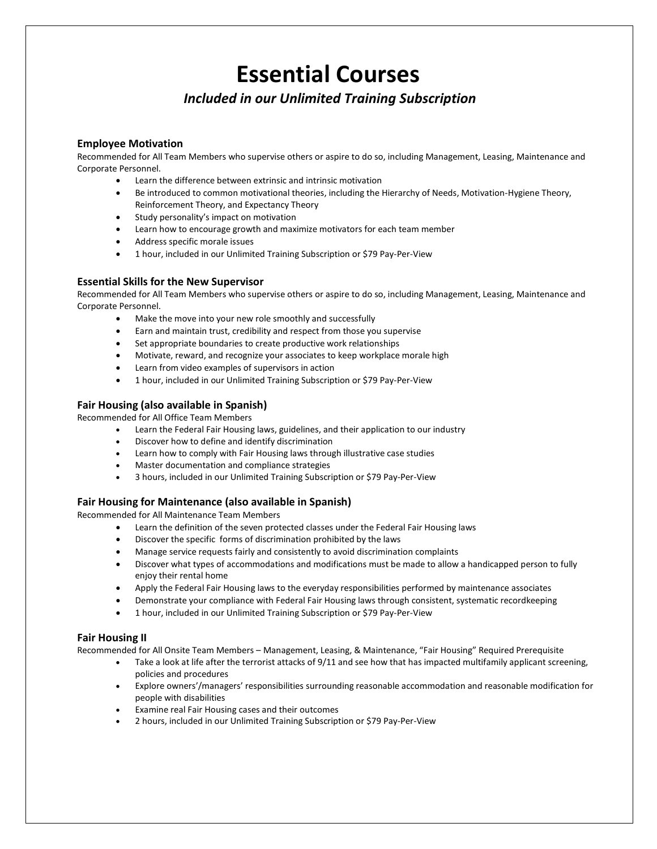### *Included in our Unlimited Training Subscription*

#### **Employee Motivation**

Recommended for All Team Members who supervise others or aspire to do so, including Management, Leasing, Maintenance and Corporate Personnel.

- Learn the difference between extrinsic and intrinsic motivation
- Be introduced to common motivational theories, including the Hierarchy of Needs, Motivation-Hygiene Theory, Reinforcement Theory, and Expectancy Theory
- Study personality's impact on motivation
- Learn how to encourage growth and maximize motivators for each team member
- Address specific morale issues
- 1 hour, included in our Unlimited Training Subscription or \$79 Pay-Per-View

#### **Essential Skills for the New Supervisor**

Recommended for All Team Members who supervise others or aspire to do so, including Management, Leasing, Maintenance and Corporate Personnel.

- Make the move into your new role smoothly and successfully
- Earn and maintain trust, credibility and respect from those you supervise
- Set appropriate boundaries to create productive work relationships
- Motivate, reward, and recognize your associates to keep workplace morale high
- Learn from video examples of supervisors in action
- 1 hour, included in our Unlimited Training Subscription or \$79 Pay-Per-View

#### **Fair Housing (also available in Spanish)**

Recommended for All Office Team Members

- Learn the Federal Fair Housing laws, guidelines, and their application to our industry
- Discover how to define and identify discrimination
- Learn how to comply with Fair Housing laws through illustrative case studies
- Master documentation and compliance strategies
- 3 hours, included in our Unlimited Training Subscription or \$79 Pay-Per-View

#### **Fair Housing for Maintenance (also available in Spanish)**

Recommended for All Maintenance Team Members

- Learn the definition of the seven protected classes under the Federal Fair Housing laws
- Discover the specific forms of discrimination prohibited by the laws
- Manage service requests fairly and consistently to avoid discrimination complaints
- Discover what types of accommodations and modifications must be made to allow a handicapped person to fully enjoy their rental home
- Apply the Federal Fair Housing laws to the everyday responsibilities performed by maintenance associates
- Demonstrate your compliance with Federal Fair Housing laws through consistent, systematic recordkeeping
- 1 hour, included in our Unlimited Training Subscription or \$79 Pay-Per-View

#### **Fair Housing II**

Recommended for All Onsite Team Members – Management, Leasing, & Maintenance, "Fair Housing" Required Prerequisite

- Take a look at life after the terrorist attacks of 9/11 and see how that has impacted multifamily applicant screening, policies and procedures
- Explore owners'/managers' responsibilities surrounding reasonable accommodation and reasonable modification for people with disabilities
- Examine real Fair Housing cases and their outcomes
- 2 hours, included in our Unlimited Training Subscription or \$79 Pay-Per-View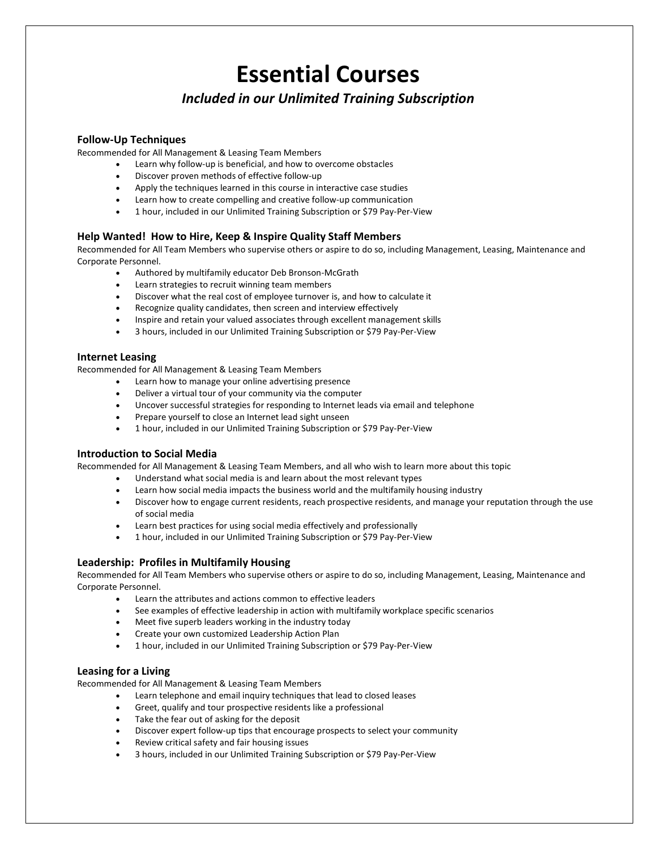### *Included in our Unlimited Training Subscription*

#### **Follow-Up Techniques**

Recommended for All Management & Leasing Team Members

- Learn why follow-up is beneficial, and how to overcome obstacles
- Discover proven methods of effective follow-up
- Apply the techniques learned in this course in interactive case studies
- Learn how to create compelling and creative follow-up communication
- 1 hour, included in our Unlimited Training Subscription or \$79 Pay-Per-View

#### **Help Wanted! How to Hire, Keep & Inspire Quality Staff Members**

Recommended for All Team Members who supervise others or aspire to do so, including Management, Leasing, Maintenance and Corporate Personnel.

- Authored by multifamily educator Deb Bronson-McGrath
- Learn strategies to recruit winning team members
- Discover what the real cost of employee turnover is, and how to calculate it
- Recognize quality candidates, then screen and interview effectively
- Inspire and retain your valued associates through excellent management skills
- 3 hours, included in our Unlimited Training Subscription or \$79 Pay-Per-View

#### **Internet Leasing**

Recommended for All Management & Leasing Team Members

- Learn how to manage your online advertising presence
- Deliver a virtual tour of your community via the computer
- Uncover successful strategies for responding to Internet leads via email and telephone
- Prepare yourself to close an Internet lead sight unseen
- 1 hour, included in our Unlimited Training Subscription or \$79 Pay-Per-View

#### **Introduction to Social Media**

Recommended for All Management & Leasing Team Members, and all who wish to learn more about this topic

- Understand what social media is and learn about the most relevant types
- Learn how social media impacts the business world and the multifamily housing industry
- Discover how to engage current residents, reach prospective residents, and manage your reputation through the use of social media
- Learn best practices for using social media effectively and professionally
- 1 hour, included in our Unlimited Training Subscription or \$79 Pay-Per-View

#### **Leadership: Profiles in Multifamily Housing**

Recommended for All Team Members who supervise others or aspire to do so, including Management, Leasing, Maintenance and Corporate Personnel.

- Learn the attributes and actions common to effective leaders<br>• See examples of effective leadershin in action with multifamily
- See examples of effective leadership in action with multifamily workplace specific scenarios
- Meet five superb leaders working in the industry today
- Create your own customized Leadership Action Plan
- 1 hour, included in our Unlimited Training Subscription or \$79 Pay-Per-View

#### **Leasing for a Living**

Recommended for All Management & Leasing Team Members

- Learn telephone and email inquiry techniques that lead to closed leases
- Greet, qualify and tour prospective residents like a professional
- Take the fear out of asking for the deposit
- Discover expert follow-up tips that encourage prospects to select your community
- Review critical safety and fair housing issues
- 3 hours, included in our Unlimited Training Subscription or \$79 Pay-Per-View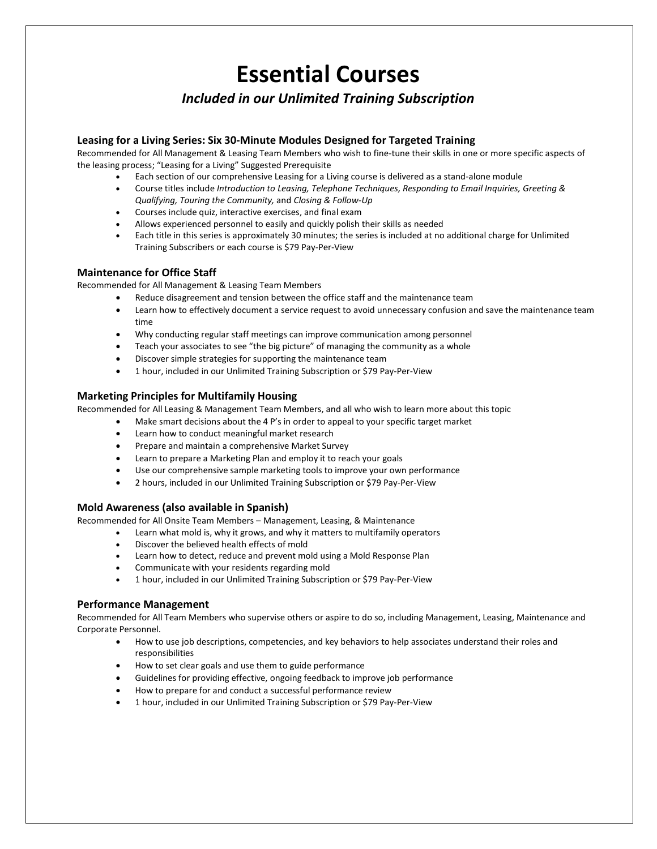### *Included in our Unlimited Training Subscription*

#### **Leasing for a Living Series: Six 30-Minute Modules Designed for Targeted Training**

Recommended for All Management & Leasing Team Members who wish to fine-tune their skills in one or more specific aspects of the leasing process; "Leasing for a Living" Suggested Prerequisite

- Each section of our comprehensive Leasing for a Living course is delivered as a stand-alone module
- Course titles include *Introduction to Leasing, Telephone Techniques, Responding to Email Inquiries, Greeting & Qualifying, Touring the Community,* and *Closing & Follow-Up*
- Courses include quiz, interactive exercises, and final exam
- Allows experienced personnel to easily and quickly polish their skills as needed
- Each title in this series is approximately 30 minutes; the series is included at no additional charge for Unlimited Training Subscribers or each course is \$79 Pay-Per-View

#### **Maintenance for Office Staff**

Recommended for All Management & Leasing Team Members

- Reduce disagreement and tension between the office staff and the maintenance team
- Learn how to effectively document a service request to avoid unnecessary confusion and save the maintenance team time
- Why conducting regular staff meetings can improve communication among personnel
- Teach your associates to see "the big picture" of managing the community as a whole
- Discover simple strategies for supporting the maintenance team
- 1 hour, included in our Unlimited Training Subscription or \$79 Pay-Per-View

#### **Marketing Principles for Multifamily Housing**

Recommended for All Leasing & Management Team Members, and all who wish to learn more about this topic

- Make smart decisions about the 4 P's in order to appeal to your specific target market
- Learn how to conduct meaningful market research
- Prepare and maintain a comprehensive Market Survey
- Learn to prepare a Marketing Plan and employ it to reach your goals
- Use our comprehensive sample marketing tools to improve your own performance
- 2 hours, included in our Unlimited Training Subscription or \$79 Pay-Per-View

#### **Mold Awareness (also available in Spanish)**

Recommended for All Onsite Team Members – Management, Leasing, & Maintenance

- Learn what mold is, why it grows, and why it matters to multifamily operators
- Discover the believed health effects of mold
- Learn how to detect, reduce and prevent mold using a Mold Response Plan
- Communicate with your residents regarding mold
- 1 hour, included in our Unlimited Training Subscription or \$79 Pay-Per-View

#### **Performance Management**

Recommended for All Team Members who supervise others or aspire to do so, including Management, Leasing, Maintenance and Corporate Personnel.

- How to use job descriptions, competencies, and key behaviors to help associates understand their roles and responsibilities
- How to set clear goals and use them to guide performance
- Guidelines for providing effective, ongoing feedback to improve job performance
- How to prepare for and conduct a successful performance review
- 1 hour, included in our Unlimited Training Subscription or \$79 Pay-Per-View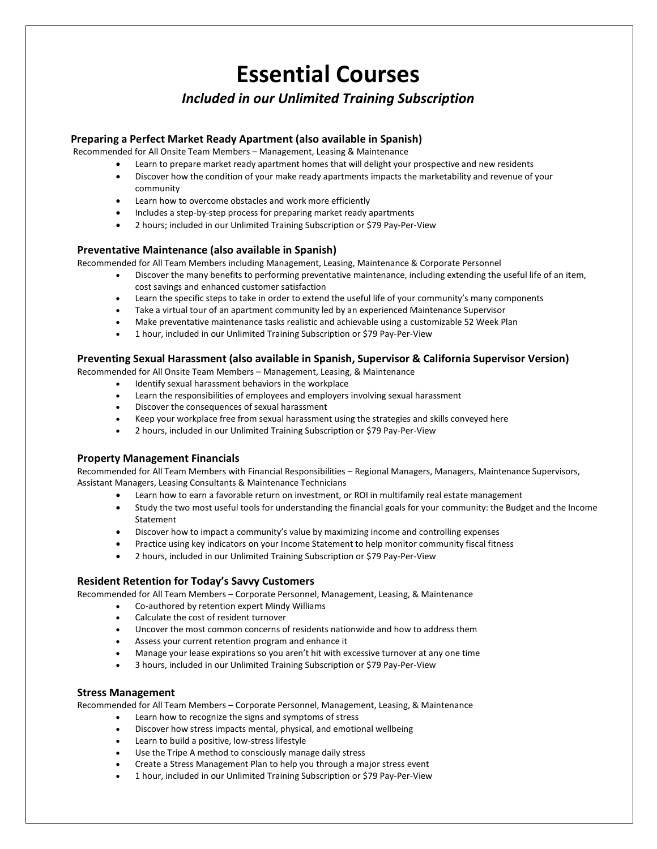### *Included in our Unlimited Training Subscription*

#### **Preparing a Perfect Market Ready Apartment (also available in Spanish)**

Recommended for All Onsite Team Members – Management, Leasing & Maintenance

- Learn to prepare market ready apartment homes that will delight your prospective and new residents
- Discover how the condition of your make ready apartments impacts the marketability and revenue of your community
- Learn how to overcome obstacles and work more efficiently
- Includes a step-by-step process for preparing market ready apartments
- 2 hours; included in our Unlimited Training Subscription or \$79 Pay-Per-View

#### **Preventative Maintenance (also available in Spanish)**

Recommended for All Team Members including Management, Leasing, Maintenance & Corporate Personnel

- Discover the many benefits to performing preventative maintenance, including extending the useful life of an item, cost savings and enhanced customer satisfaction
- Learn the specific steps to take in order to extend the useful life of your community's many components
- Take a virtual tour of an apartment community led by an experienced Maintenance Supervisor
- Make preventative maintenance tasks realistic and achievable using a customizable 52 Week Plan
- 1 hour, included in our Unlimited Training Subscription or \$79 Pay-Per-View

#### **Preventing Sexual Harassment (also available in Spanish, Supervisor & California Supervisor Version)**

Recommended for All Onsite Team Members – Management, Leasing, & Maintenance

- Identify sexual harassment behaviors in the workplace
- Learn the responsibilities of employees and employers involving sexual harassment
- Discover the consequences of sexual harassment
- Keep your workplace free from sexual harassment using the strategies and skills conveyed here
- 2 hours, included in our Unlimited Training Subscription or \$79 Pay-Per-View

#### **Property Management Financials**

Recommended for All Team Members with Financial Responsibilities – Regional Managers, Managers, Maintenance Supervisors, Assistant Managers, Leasing Consultants & Maintenance Technicians

- Learn how to earn a favorable return on investment, or ROI in multifamily real estate management
- Study the two most useful tools for understanding the financial goals for your community: the Budget and the Income Statement
- Discover how to impact a community's value by maximizing income and controlling expenses
- Practice using key indicators on your Income Statement to help monitor community fiscal fitness
- 2 hours, included in our Unlimited Training Subscription or \$79 Pay-Per-View

#### **Resident Retention for Today's Savvy Customers**

Recommended for All Team Members – Corporate Personnel, Management, Leasing, & Maintenance

- Co-authored by retention expert Mindy Williams
- Calculate the cost of resident turnover
- Uncover the most common concerns of residents nationwide and how to address them
- Assess your current retention program and enhance it
- Manage your lease expirations so you aren't hit with excessive turnover at any one time
- 3 hours, included in our Unlimited Training Subscription or \$79 Pay-Per-View

#### **Stress Management**

Recommended for All Team Members – Corporate Personnel, Management, Leasing, & Maintenance

- Learn how to recognize the signs and symptoms of stress
- Discover how stress impacts mental, physical, and emotional wellbeing
- Learn to build a positive, low-stress lifestyle
- Use the Tripe A method to consciously manage daily stress
- Create a Stress Management Plan to help you through a major stress event
- 1 hour, included in our Unlimited Training Subscription or \$79 Pay-Per-View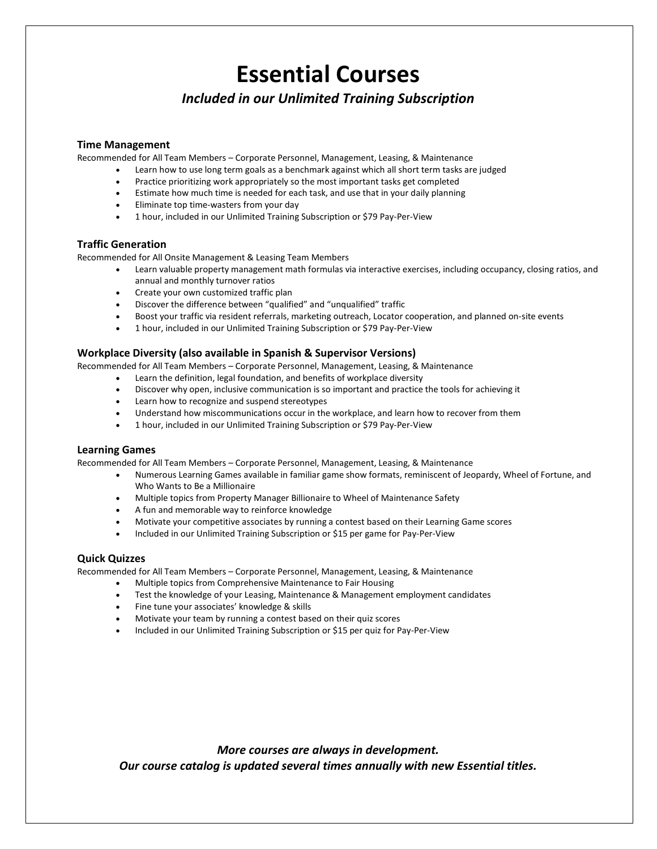*Included in our Unlimited Training Subscription*

#### **Time Management**

Recommended for All Team Members – Corporate Personnel, Management, Leasing, & Maintenance

- Learn how to use long term goals as a benchmark against which all short term tasks are judged
- Practice prioritizing work appropriately so the most important tasks get completed
- Estimate how much time is needed for each task, and use that in your daily planning
- Eliminate top time-wasters from your day
- 1 hour, included in our Unlimited Training Subscription or \$79 Pay-Per-View

#### **Traffic Generation**

Recommended for All Onsite Management & Leasing Team Members

- Learn valuable property management math formulas via interactive exercises, including occupancy, closing ratios, and annual and monthly turnover ratios
- Create your own customized traffic plan
- Discover the difference between "qualified" and "unqualified" traffic
- Boost your traffic via resident referrals, marketing outreach, Locator cooperation, and planned on-site events
- 1 hour, included in our Unlimited Training Subscription or \$79 Pay-Per-View

#### **Workplace Diversity (also available in Spanish & Supervisor Versions)**

Recommended for All Team Members – Corporate Personnel, Management, Leasing, & Maintenance

- Learn the definition, legal foundation, and benefits of workplace diversity
- Discover why open, inclusive communication is so important and practice the tools for achieving it
- Learn how to recognize and suspend stereotypes
- Understand how miscommunications occur in the workplace, and learn how to recover from them
- 1 hour, included in our Unlimited Training Subscription or \$79 Pay-Per-View

#### **Learning Games**

Recommended for All Team Members – Corporate Personnel, Management, Leasing, & Maintenance

- Numerous Learning Games available in familiar game show formats, reminiscent of Jeopardy, Wheel of Fortune, and Who Wants to Be a Millionaire
- Multiple topics from Property Manager Billionaire to Wheel of Maintenance Safety
- A fun and memorable way to reinforce knowledge
- Motivate your competitive associates by running a contest based on their Learning Game scores
- Included in our Unlimited Training Subscription or \$15 per game for Pay-Per-View

#### **Quick Quizzes**

Recommended for All Team Members – Corporate Personnel, Management, Leasing, & Maintenance

- Multiple topics from Comprehensive Maintenance to Fair Housing
- Test the knowledge of your Leasing, Maintenance & Management employment candidates
- Fine tune your associates' knowledge & skills
- Motivate your team by running a contest based on their quiz scores
- Included in our Unlimited Training Subscription or \$15 per quiz for Pay-Per-View

*More courses are always in development. Our course catalog is updated several times annually with new Essential titles.*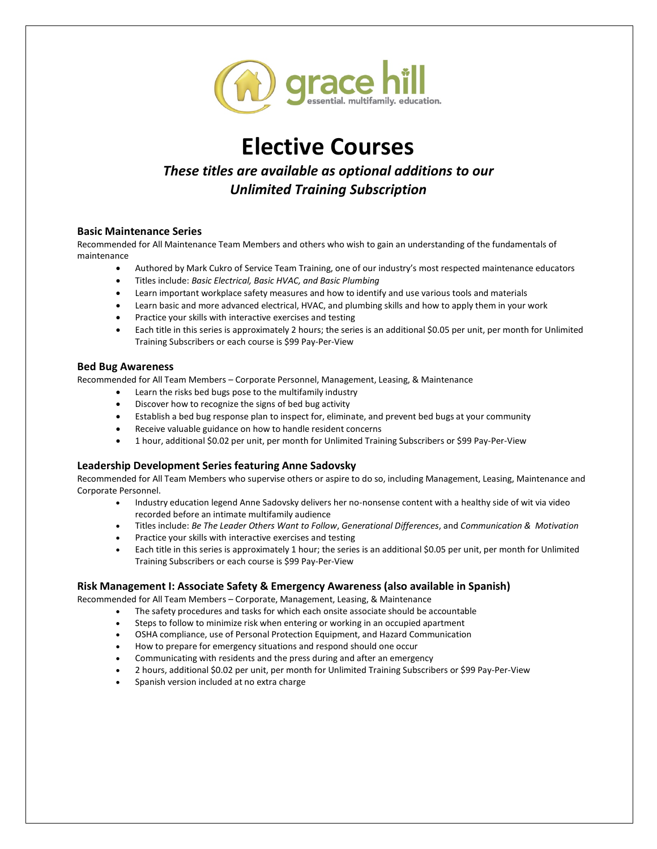

## **Elective Courses**

### *These titles are available as optional additions to our Unlimited Training Subscription*

#### **Basic Maintenance Series**

Recommended for All Maintenance Team Members and others who wish to gain an understanding of the fundamentals of maintenance

- Authored by Mark Cukro of Service Team Training, one of our industry's most respected maintenance educators
- Titles include: *Basic Electrical, Basic HVAC, and Basic Plumbing*
- Learn important workplace safety measures and how to identify and use various tools and materials
- Learn basic and more advanced electrical, HVAC, and plumbing skills and how to apply them in your work
- Practice your skills with interactive exercises and testing
- Each title in this series is approximately 2 hours; the series is an additional \$0.05 per unit, per month for Unlimited Training Subscribers or each course is \$99 Pay-Per-View

#### **Bed Bug Awareness**

Recommended for All Team Members – Corporate Personnel, Management, Leasing, & Maintenance

- Learn the risks bed bugs pose to the multifamily industry
- Discover how to recognize the signs of bed bug activity
- Establish a bed bug response plan to inspect for, eliminate, and prevent bed bugs at your community
- Receive valuable guidance on how to handle resident concerns
- 1 hour, additional \$0.02 per unit, per month for Unlimited Training Subscribers or \$99 Pay-Per-View

#### **Leadership Development Series featuring Anne Sadovsky**

Recommended for All Team Members who supervise others or aspire to do so, including Management, Leasing, Maintenance and Corporate Personnel.

- Industry education legend Anne Sadovsky delivers her no-nonsense content with a healthy side of wit via video recorded before an intimate multifamily audience
- Titles include: *Be The Leader Others Want to Follow*, *Generational Differences*, and *Communication & Motivation*
- Practice your skills with interactive exercises and testing
- Each title in this series is approximately 1 hour; the series is an additional \$0.05 per unit, per month for Unlimited Training Subscribers or each course is \$99 Pay-Per-View

#### **Risk Management I: Associate Safety & Emergency Awareness (also available in Spanish)**

Recommended for All Team Members – Corporate, Management, Leasing, & Maintenance

- The safety procedures and tasks for which each onsite associate should be accountable
- Steps to follow to minimize risk when entering or working in an occupied apartment
- OSHA compliance, use of Personal Protection Equipment, and Hazard Communication
- How to prepare for emergency situations and respond should one occur
- Communicating with residents and the press during and after an emergency
- 2 hours, additional \$0.02 per unit, per month for Unlimited Training Subscribers or \$99 Pay-Per-View
- Spanish version included at no extra charge